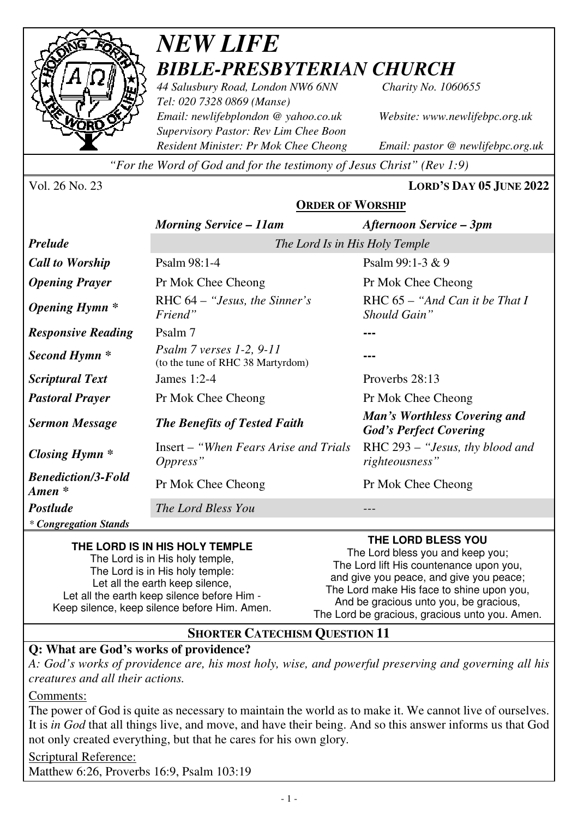

# *NEW LIFE BIBLE-PRESBYTERIAN CHURCH*

*44 Salusbury Road, London NW6 6NN Charity No. 1060655 Tel: 020 7328 0869 (Manse) Email: newlifebplondon @ yahoo.co.uk Website: www.newlifebpc.org.uk Supervisory Pastor: Rev Lim Chee Boon Resident Minister: Pr Mok Chee Cheong Email: pastor @ newlifebpc.org.uk* 

*"For the Word of God and for the testimony of Jesus Christ" (Rev 1:9)*

Vol. 26 No. 23 **LORD'S DAY 05 JUNE 2022**

# **ORDER OF WORSHIP**

|                                                 | <b>Morning Service – 11am</b>                                   | <b>Afternoon Service – 3pm</b>                                |
|-------------------------------------------------|-----------------------------------------------------------------|---------------------------------------------------------------|
| <b>Prelude</b>                                  | The Lord Is in His Holy Temple                                  |                                                               |
| <b>Call to Worship</b>                          | Psalm 98:1-4                                                    | Psalm $99:1-3 & 9$                                            |
| <b>Opening Prayer</b>                           | Pr Mok Chee Cheong                                              | Pr Mok Chee Cheong                                            |
| <b>Opening Hymn</b> *                           | RHC $64 -$ "Jesus, the Sinner's<br>Friend"                      | RHC $65 - "And Can it be That I$<br>Should Gain"              |
| <b>Responsive Reading</b>                       | Psalm 7                                                         |                                                               |
| Second Hymn <sup>*</sup>                        | Psalm $7$ verses 1-2, 9-11<br>(to the tune of RHC 38 Martyrdom) |                                                               |
| <b>Scriptural Text</b>                          | James $1:2-4$                                                   | Proverbs 28:13                                                |
| <b>Pastoral Prayer</b>                          | Pr Mok Chee Cheong                                              | Pr Mok Chee Cheong                                            |
| <b>Sermon Message</b>                           | <b>The Benefits of Tested Faith</b>                             | Man's Worthless Covering and<br><b>God's Perfect Covering</b> |
| <b>Closing Hymn</b> *                           | Insert – "When Fears Arise and Trials"<br>Oppress"              | RHC 293 – "Jesus, thy blood and<br>righteousness"             |
| <b>Benediction/3-Fold</b><br>$A$ <i>men</i> $*$ | Pr Mok Chee Cheong                                              | Pr Mok Chee Cheong                                            |
| <b>Postlude</b>                                 | The Lord Bless You                                              |                                                               |
| * Congregation Stands                           |                                                                 |                                                               |

#### **THE LORD IS IN HIS HOLY TEMPLE**

The Lord is in His holy temple, The Lord is in His holy temple: Let all the earth keep silence. Let all the earth keep silence before Him - Keep silence, keep silence before Him. Amen.

### **THE LORD BLESS YOU**

The Lord bless you and keep you; The Lord lift His countenance upon you, and give you peace, and give you peace; The Lord make His face to shine upon you, And be gracious unto you, be gracious, The Lord be gracious, gracious unto you. Amen.

# **SHORTER CATECHISM QUESTION 11**

# **Q: What are God's works of providence?**

*A: God's works of providence are, his most holy, wise, and powerful preserving and governing all his creatures and all their actions.* 

#### Comments:

The power of God is quite as necessary to maintain the world as to make it. We cannot live of ourselves. It is *in God* that all things live, and move, and have their being. And so this answer informs us that God not only created everything, but that he cares for his own glory*.*

Scriptural Reference: Matthew 6:26, Proverbs 16:9, Psalm 103:19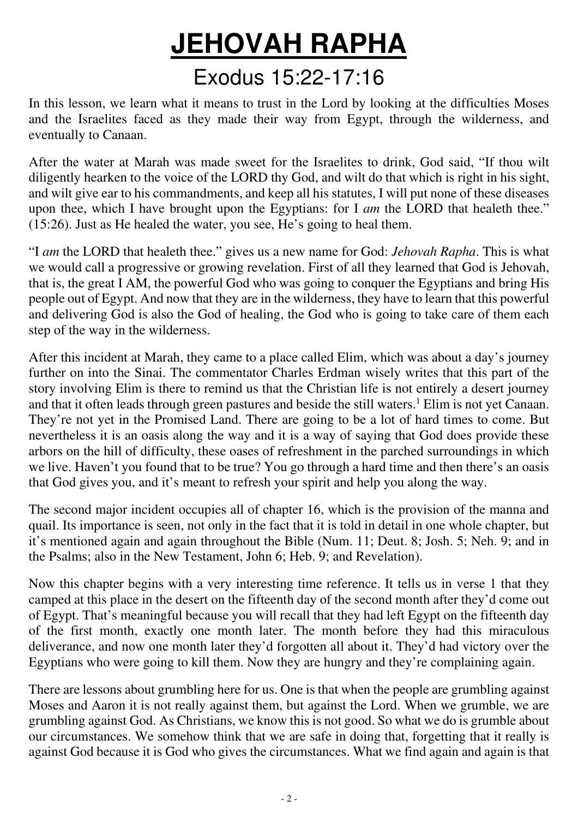# **JEHOVAH RAPHA** Exodus 15:22-17:16

In this lesson, we learn what it means to trust in the Lord by looking at the difficulties Moses and the Israelites faced as they made their way from Egypt, through the wilderness, and eventually to Canaan.

After the water at Marah was made sweet for the Israelites to drink, God said, "If thou wilt diligently hearken to the voice of the LORD thy God, and wilt do that which is right in his sight, and wilt give ear to his commandments, and keep all his statutes, I will put none of these diseases upon thee, which I have brought upon the Egyptians: for I *am* the LORD that healeth thee." (15:26). Just as He healed the water, you see, He 's going to heal them.

"I *am* the LORD that healeth thee." gives us a new name for God: *Jehovah Rapha*. This is what we would call a progressive or growing revelation. First of all they learned that God is Jehovah, that is, the great I AM, the powerful God who was going to conquer the Egyptians and bring His people out of Egypt. And now that they are in the wilderness, they have to learn that this powerful and delivering God is also the God of healing, the God who is going to take care of them each step of the way in the wilderness.

After this incident at Marah, they came to a place called Elim, which was about a day's journey further on into the Sinai. The commentator Charles Erdman wisely writes that this part of the story involving Elim is there to remind us that the Christian life is not entirely a desert journey and that it often leads through green pastures and beside the still waters.<sup>1</sup> Elim is not yet Canaan. They 're not yet in the Promised Land. There are going to be a lot of hard times to come. But nevertheless it is an oasis along the way and it is a way of saying that God does provide these arbors on the hill of difficulty, these oases of refreshment in the parched surroundings in which we live. Haven't you found that to be true? You go through a hard time and then there's an oasis that God gives you, and it 's meant to refresh your spirit and help you along the way.

The second major incident occupies all of chapter 16, which is the provision of the manna and quail. Its importance is seen, not only in the fact that it is told in detail in one whole chapter, but it 's mentioned again and again throughout the Bible (Num. 11; Deut. 8; Josh. 5; Neh. 9; and in the Psalms; also in the New Testament, John 6; Heb. 9; and Revelation).

Now this chapter begins with a very interesting time reference. It tells us in verse 1 that they camped at this place in the desert on the fifteenth day of the second month after they 'd come out of Egypt. That's meaningful because you will recall that they had left Egypt on the fifteenth day of the first month, exactly one month later. The month before they had this miraculous deliverance, and now one month later they'd forgotten all about it. They 'd had victory over the Egyptians who were going to kill them. Now they are hungry and they 're complaining again.

There are lessons about grumbling here for us. One is that when the people are grumbling against Moses and Aaron it is not really against them, but against the Lord. When we grumble, we are grumbling against God. As Christians, we know this is not good. So what we do is grumble about our circumstances. We somehow think that we are safe in doing that, forgetting that it really is against God because it is God who gives the circumstances. What we find again and again is that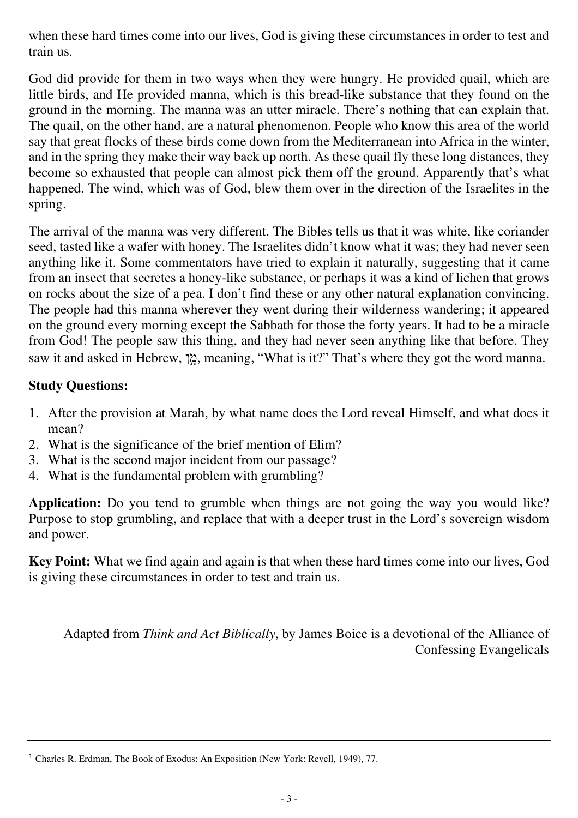when these hard times come into our lives, God is giving these circumstances in order to test and train us.

God did provide for them in two ways when they were hungry. He provided quail, which are little birds, and He provided manna, which is this bread-like substance that they found on the ground in the morning. The manna was an utter miracle. There 's nothing that can explain that. The quail, on the other hand, are a natural phenomenon. People who know this area of the world say that great flocks of these birds come down from the Mediterranean into Africa in the winter, and in the spring they make their way back up north. As these quail fly these long distances, they become so exhausted that people can almost pick them off the ground. Apparently that's what happened. The wind, which was of God, blew them over in the direction of the Israelites in the spring.

The arrival of the manna was very different. The Bibles tells us that it was white, like coriander seed, tasted like a wafer with honey. The Israelites didn't know what it was; they had never seen anything like it. Some commentators have tried to explain it naturally, suggesting that it came from an insect that secretes a honey-like substance, or perhaps it was a kind of lichen that grows on rocks about the size of a pea. I don 't find these or any other natural explanation convincing. The people had this manna wherever they went during their wilderness wandering; it appeared on the ground every morning except the Sabbath for those the forty years. It had to be a miracle from God! The people saw this thing, and they had never seen anything like that before. They saw it and asked in Hebrew, "p, meaning, "What is it?" That's where they got the word manna.

### **Study Questions:**

- 1. After the provision at Marah, by what name does the Lord reveal Himself, and what does it mean?
- 2. What is the significance of the brief mention of Elim?
- 3. What is the second major incident from our passage?
- 4. What is the fundamental problem with grumbling?

**Application:** Do you tend to grumble when things are not going the way you would like? Purpose to stop grumbling, and replace that with a deeper trust in the Lord's sovereign wisdom and power.

**Key Point:** What we find again and again is that when these hard times come into our lives, God is giving these circumstances in order to test and train us.

Adapted from *Think and Act Biblically*, by James Boice is a devotional of the Alliance of Confessing Evangelicals

<sup>1</sup> Charles R. Erdman, The Book of Exodus: An Exposition (New York: Revell, 1949), 77.